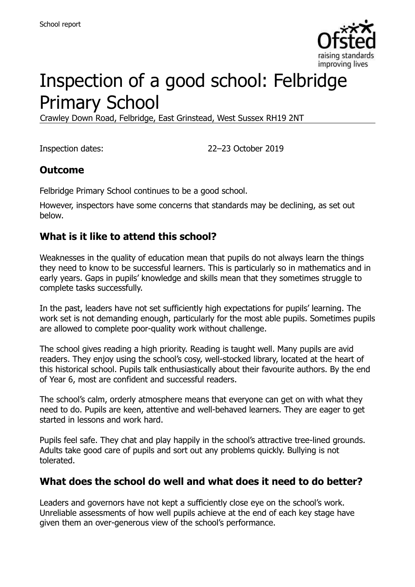

# Inspection of a good school: Felbridge Primary School

Crawley Down Road, Felbridge, East Grinstead, West Sussex RH19 2NT

Inspection dates: 22–23 October 2019

### **Outcome**

Felbridge Primary School continues to be a good school.

However, inspectors have some concerns that standards may be declining, as set out below.

### **What is it like to attend this school?**

Weaknesses in the quality of education mean that pupils do not always learn the things they need to know to be successful learners. This is particularly so in mathematics and in early years. Gaps in pupils' knowledge and skills mean that they sometimes struggle to complete tasks successfully.

In the past, leaders have not set sufficiently high expectations for pupils' learning. The work set is not demanding enough, particularly for the most able pupils. Sometimes pupils are allowed to complete poor-quality work without challenge.

The school gives reading a high priority. Reading is taught well. Many pupils are avid readers. They enjoy using the school's cosy, well-stocked library, located at the heart of this historical school. Pupils talk enthusiastically about their favourite authors. By the end of Year 6, most are confident and successful readers.

The school's calm, orderly atmosphere means that everyone can get on with what they need to do. Pupils are keen, attentive and well-behaved learners. They are eager to get started in lessons and work hard.

Pupils feel safe. They chat and play happily in the school's attractive tree-lined grounds. Adults take good care of pupils and sort out any problems quickly. Bullying is not tolerated.

### **What does the school do well and what does it need to do better?**

Leaders and governors have not kept a sufficiently close eye on the school's work. Unreliable assessments of how well pupils achieve at the end of each key stage have given them an over-generous view of the school's performance.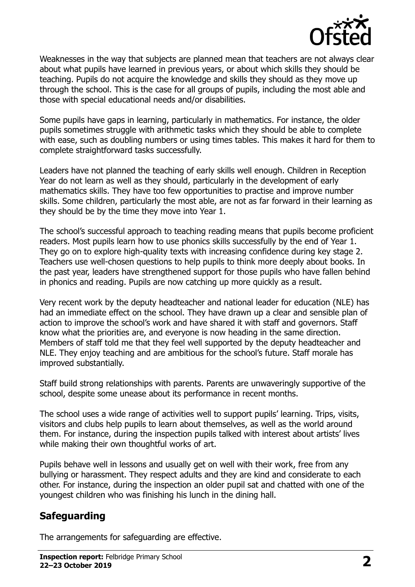

Weaknesses in the way that subjects are planned mean that teachers are not always clear about what pupils have learned in previous years, or about which skills they should be teaching. Pupils do not acquire the knowledge and skills they should as they move up through the school. This is the case for all groups of pupils, including the most able and those with special educational needs and/or disabilities.

Some pupils have gaps in learning, particularly in mathematics. For instance, the older pupils sometimes struggle with arithmetic tasks which they should be able to complete with ease, such as doubling numbers or using times tables. This makes it hard for them to complete straightforward tasks successfully.

Leaders have not planned the teaching of early skills well enough. Children in Reception Year do not learn as well as they should, particularly in the development of early mathematics skills. They have too few opportunities to practise and improve number skills. Some children, particularly the most able, are not as far forward in their learning as they should be by the time they move into Year 1.

The school's successful approach to teaching reading means that pupils become proficient readers. Most pupils learn how to use phonics skills successfully by the end of Year 1. They go on to explore high-quality texts with increasing confidence during key stage 2. Teachers use well-chosen questions to help pupils to think more deeply about books. In the past year, leaders have strengthened support for those pupils who have fallen behind in phonics and reading. Pupils are now catching up more quickly as a result.

Very recent work by the deputy headteacher and national leader for education (NLE) has had an immediate effect on the school. They have drawn up a clear and sensible plan of action to improve the school's work and have shared it with staff and governors. Staff know what the priorities are, and everyone is now heading in the same direction. Members of staff told me that they feel well supported by the deputy headteacher and NLE. They enjoy teaching and are ambitious for the school's future. Staff morale has improved substantially.

Staff build strong relationships with parents. Parents are unwaveringly supportive of the school, despite some unease about its performance in recent months.

The school uses a wide range of activities well to support pupils' learning. Trips, visits, visitors and clubs help pupils to learn about themselves, as well as the world around them. For instance, during the inspection pupils talked with interest about artists' lives while making their own thoughtful works of art.

Pupils behave well in lessons and usually get on well with their work, free from any bullying or harassment. They respect adults and they are kind and considerate to each other. For instance, during the inspection an older pupil sat and chatted with one of the youngest children who was finishing his lunch in the dining hall.

# **Safeguarding**

The arrangements for safeguarding are effective.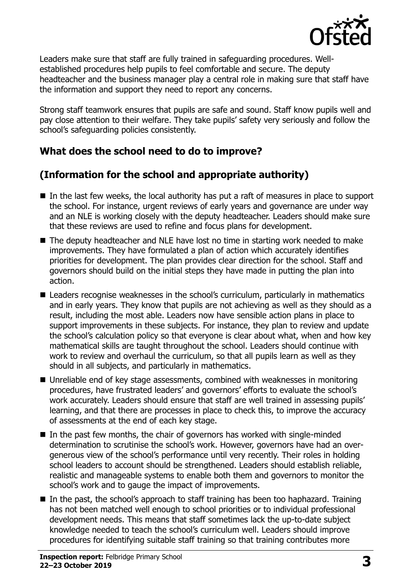

Leaders make sure that staff are fully trained in safeguarding procedures. Wellestablished procedures help pupils to feel comfortable and secure. The deputy headteacher and the business manager play a central role in making sure that staff have the information and support they need to report any concerns.

Strong staff teamwork ensures that pupils are safe and sound. Staff know pupils well and pay close attention to their welfare. They take pupils' safety very seriously and follow the school's safeguarding policies consistently.

# **What does the school need to do to improve?**

# **(Information for the school and appropriate authority)**

- In the last few weeks, the local authority has put a raft of measures in place to support the school. For instance, urgent reviews of early years and governance are under way and an NLE is working closely with the deputy headteacher. Leaders should make sure that these reviews are used to refine and focus plans for development.
- The deputy headteacher and NLE have lost no time in starting work needed to make improvements. They have formulated a plan of action which accurately identifies priorities for development. The plan provides clear direction for the school. Staff and governors should build on the initial steps they have made in putting the plan into action.
- Leaders recognise weaknesses in the school's curriculum, particularly in mathematics and in early years. They know that pupils are not achieving as well as they should as a result, including the most able. Leaders now have sensible action plans in place to support improvements in these subjects. For instance, they plan to review and update the school's calculation policy so that everyone is clear about what, when and how key mathematical skills are taught throughout the school. Leaders should continue with work to review and overhaul the curriculum, so that all pupils learn as well as they should in all subjects, and particularly in mathematics.
- Unreliable end of key stage assessments, combined with weaknesses in monitoring procedures, have frustrated leaders' and governors' efforts to evaluate the school's work accurately. Leaders should ensure that staff are well trained in assessing pupils' learning, and that there are processes in place to check this, to improve the accuracy of assessments at the end of each key stage.
- $\blacksquare$  In the past few months, the chair of governors has worked with single-minded determination to scrutinise the school's work. However, governors have had an overgenerous view of the school's performance until very recently. Their roles in holding school leaders to account should be strengthened. Leaders should establish reliable, realistic and manageable systems to enable both them and governors to monitor the school's work and to gauge the impact of improvements.
- In the past, the school's approach to staff training has been too haphazard. Training has not been matched well enough to school priorities or to individual professional development needs. This means that staff sometimes lack the up-to-date subject knowledge needed to teach the school's curriculum well. Leaders should improve procedures for identifying suitable staff training so that training contributes more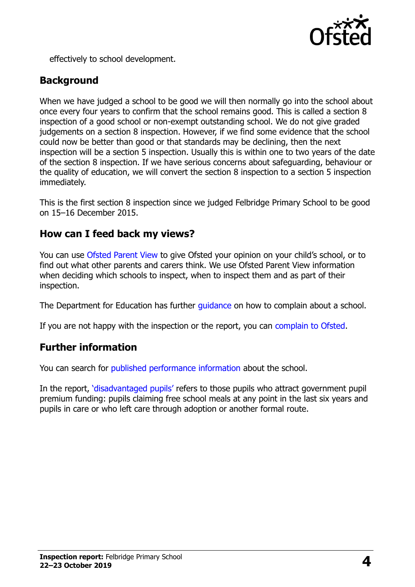

effectively to school development.

# **Background**

When we have judged a school to be good we will then normally go into the school about once every four years to confirm that the school remains good. This is called a section 8 inspection of a good school or non-exempt outstanding school. We do not give graded judgements on a section 8 inspection. However, if we find some evidence that the school could now be better than good or that standards may be declining, then the next inspection will be a section 5 inspection. Usually this is within one to two years of the date of the section 8 inspection. If we have serious concerns about safeguarding, behaviour or the quality of education, we will convert the section 8 inspection to a section 5 inspection immediately.

This is the first section 8 inspection since we judged Felbridge Primary School to be good on 15–16 December 2015.

# **How can I feed back my views?**

You can use [Ofsted Parent View](https://parentview.ofsted.gov.uk/) to give Ofsted your opinion on your child's school, or to find out what other parents and carers think. We use Ofsted Parent View information when deciding which schools to inspect, when to inspect them and as part of their inspection.

The Department for Education has further [guidance](http://www.gov.uk/complain-about-school) on how to complain about a school.

If you are not happy with the inspection or the report, you can [complain to Ofsted.](https://www.gov.uk/complain-ofsted-report)

### **Further information**

You can search for [published performance information](http://www.compare-school-performance.service.gov.uk/) about the school.

In the report, '[disadvantaged pupils](http://www.gov.uk/guidance/pupil-premium-information-for-schools-and-alternative-provision-settings)' refers to those pupils who attract government pupil premium funding: pupils claiming free school meals at any point in the last six years and pupils in care or who left care through adoption or another formal route.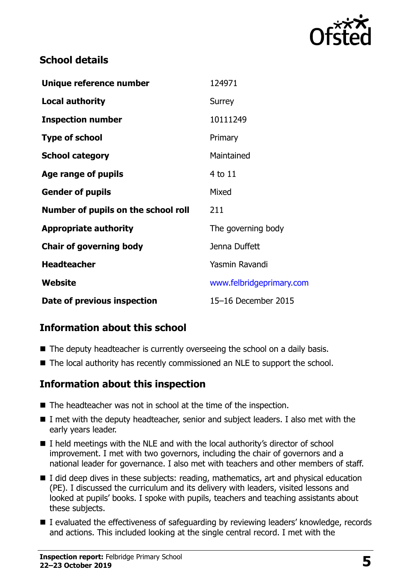

# **School details**

| Unique reference number             | 124971                   |
|-------------------------------------|--------------------------|
| <b>Local authority</b>              | Surrey                   |
| <b>Inspection number</b>            | 10111249                 |
| <b>Type of school</b>               | Primary                  |
| <b>School category</b>              | Maintained               |
| Age range of pupils                 | 4 to 11                  |
| <b>Gender of pupils</b>             | Mixed                    |
| Number of pupils on the school roll | 211                      |
| <b>Appropriate authority</b>        | The governing body       |
| <b>Chair of governing body</b>      | Jenna Duffett            |
| <b>Headteacher</b>                  | Yasmin Ravandi           |
| Website                             | www.felbridgeprimary.com |
| Date of previous inspection         | 15-16 December 2015      |

# **Information about this school**

- The deputy headteacher is currently overseeing the school on a daily basis.
- The local authority has recently commissioned an NLE to support the school.

### **Information about this inspection**

- The headteacher was not in school at the time of the inspection.
- I met with the deputy headteacher, senior and subject leaders. I also met with the early years leader.
- $\blacksquare$  I held meetings with the NLE and with the local authority's director of school improvement. I met with two governors, including the chair of governors and a national leader for governance. I also met with teachers and other members of staff.
- I did deep dives in these subjects: reading, mathematics, art and physical education (PE). I discussed the curriculum and its delivery with leaders, visited lessons and looked at pupils' books. I spoke with pupils, teachers and teaching assistants about these subjects.
- I evaluated the effectiveness of safeguarding by reviewing leaders' knowledge, records and actions. This included looking at the single central record. I met with the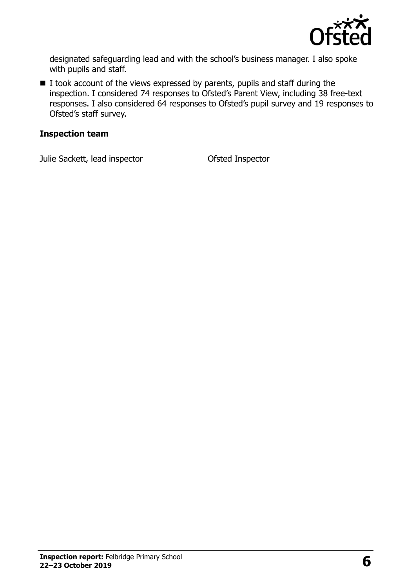

designated safeguarding lead and with the school's business manager. I also spoke with pupils and staff.

I took account of the views expressed by parents, pupils and staff during the inspection. I considered 74 responses to Ofsted's Parent View, including 38 free-text responses. I also considered 64 responses to Ofsted's pupil survey and 19 responses to Ofsted's staff survey.

#### **Inspection team**

Julie Sackett, lead inspector Ofsted Inspector